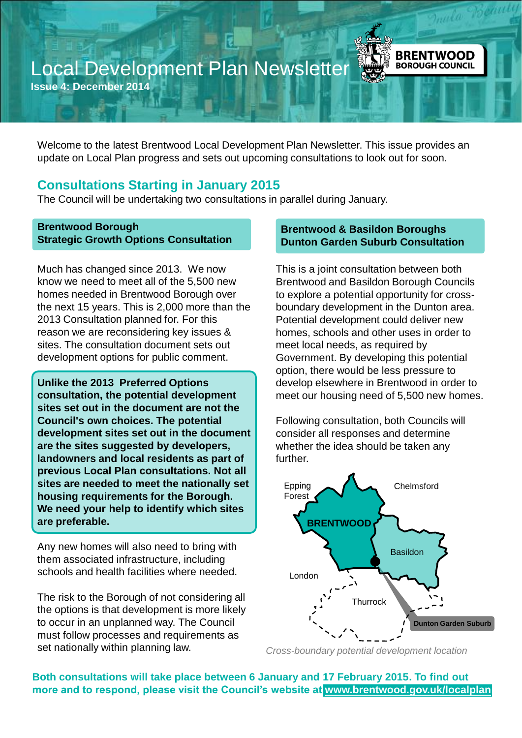# Local Development Plan Newsletter

**Issue 4: December 2014**

Welcome to the latest Brentwood Local Development Plan Newsletter. This issue provides an update on Local Plan progress and sets out upcoming consultations to look out for soon.

### **Consultations Starting in January 2015**

The Council will be undertaking two consultations in parallel during January.

#### **Brentwood Borough Strategic Growth Options Consultation**

Much has changed since 2013. We now know we need to meet all of the 5,500 new homes needed in Brentwood Borough over the next 15 years. This is 2,000 more than the 2013 Consultation planned for. For this reason we are reconsidering key issues & sites. The consultation document sets out development options for public comment.

**Unlike the 2013 Preferred Options consultation, the potential development sites set out in the document are not the Council's own choices. The potential development sites set out in the document are the sites suggested by developers, landowners and local residents as part of previous Local Plan consultations. Not all sites are needed to meet the nationally set housing requirements for the Borough. We need your help to identify which sites are preferable.** 

Any new homes will also need to bring with them associated infrastructure, including schools and health facilities where needed.

The risk to the Borough of not considering all the options is that development is more likely to occur in an unplanned way. The Council must follow processes and requirements as set nationally within planning law.

#### **Brentwood & Basildon Boroughs Dunton Garden Suburb Consultation**

**BRENTWOOD BOROUGH COUNCIL** 

This is a joint consultation between both Brentwood and Basildon Borough Councils to explore a potential opportunity for crossboundary development in the Dunton area. Potential development could deliver new homes, schools and other uses in order to meet local needs, as required by Government. By developing this potential option, there would be less pressure to develop elsewhere in Brentwood in order to meet our housing need of 5,500 new homes.

Following consultation, both Councils will consider all responses and determine whether the idea should be taken any further.



*Cross-boundary potential development location*

**Both consultations will take place between 6 January and 17 February 2015. To find out more and to respond, please visit the Council's website at [www.brentwood.gov.uk/localplan](http://www.brentwood.gov.uk/localplan)**